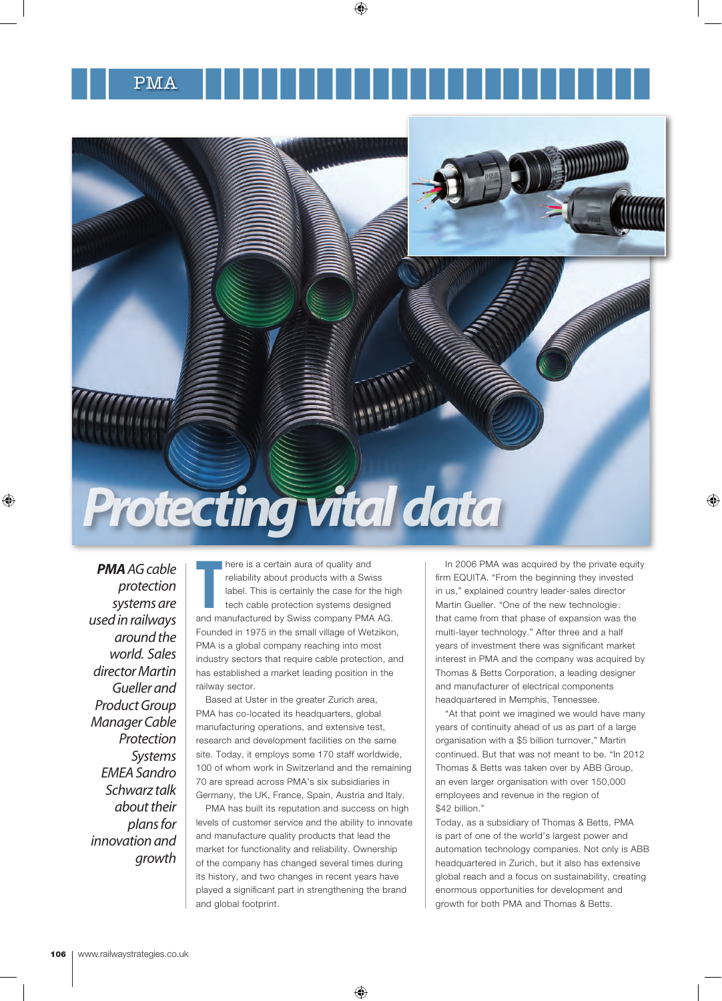

*PMA AG cable protection systems are used in railways around the world. Sales director Martin Gueller and Product Group Manager Cable Protection Systems EMEA Sandro Schwarz talk about their plans for innovation and growth*

There is a certain aura of quality and<br>
reliability about products with a Swiss<br>
label. This is certainly the case for the highered cable protection systems designed<br>
and manufactured by Swiss company PMA AG. here is a certain aura of quality and reliability about products with a Swiss label. This is certainly the case for the high tech cable protection systems designed Founded in 1975 in the small village of Wetzikon, PMA is a global company reaching into most industry sectors that require cable protection, and has established a market leading position in the railway sector.

Based at Uster in the greater Zurich area, PMA has co-located its headquarters, global manufacturing operations, and extensive test, research and development facilities on the same site. Today, it employs some 170 staff worldwide, 100 of whom work in Switzerland and the remaining 70 are spread across PMA's six subsidiaries in Germany, the UK, France, Spain, Austria and Italy.

PMA has built its reputation and success on high levels of customer service and the ability to innovate and manufacture quality products that lead the market for functionality and reliability. Ownership of the company has changed several times during its history, and two changes in recent years have played a significant part in strengthening the brand and global footprint.

In 2006 PMA was acquired by the private equity firm EQUITA. "From the beginning they invested in us," explained country leader-sales director Martin Gueller. "One of the new technologies that came from that phase of expansion was the multi-layer technology." After three and a half years of investment there was significant market interest in PMA and the company was acquired by Thomas & Betts Corporation, a leading designer and manufacturer of electrical components headquartered in Memphis, Tennessee.

"At that point we imagined we would have many years of continuity ahead of us as part of a large organisation with a \$5 billion turnover," Martin continued. But that was not meant to be. "In 2012 Thomas & Betts was taken over by ABB Group, an even larger organisation with over 150,000 employees and revenue in the region of \$42 billion."

Today, as a subsidiary of Thomas & Betts, PMA is part of one of the world's largest power and automation technology companies. Not only is ABB headquartered in Zurich, but it also has extensive global reach and a focus on sustainability, creating enormous opportunities for development and growth for both PMA and Thomas & Betts.